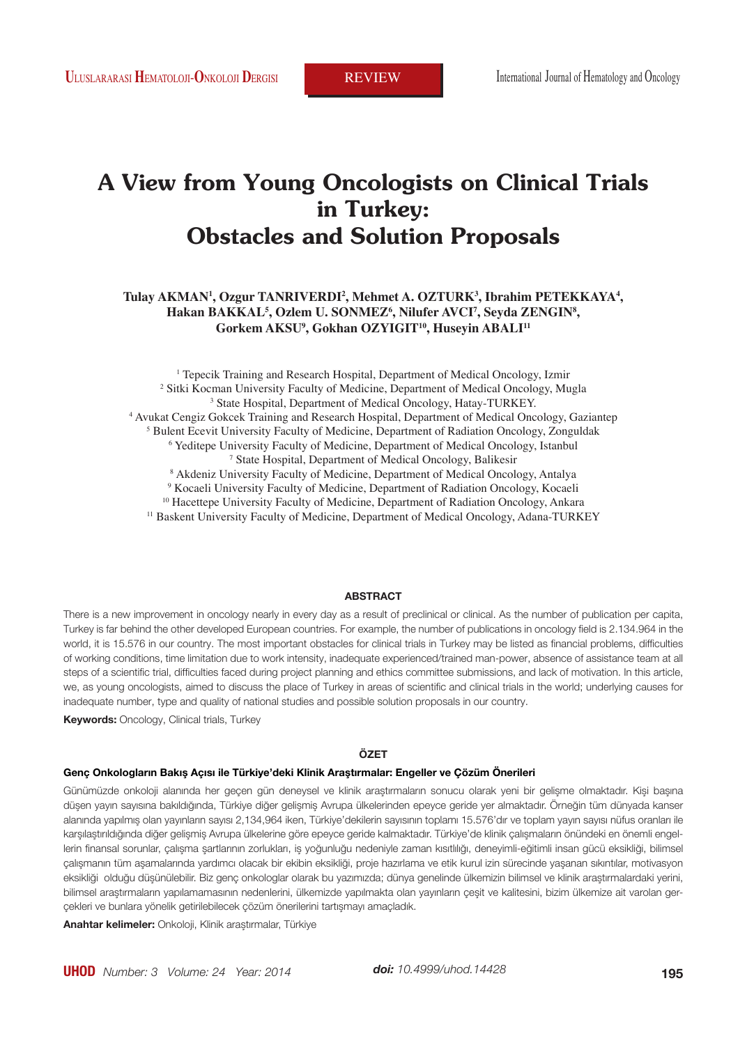# **A View from Young Oncologists on Clinical Trials in Turkey: Obstacles and Solution Proposals**

## **Tulay AKMAN1 , Ozgur TANRIVERDI2 , Mehmet A. OZTURK3 , Ibrahim PETEKKAYA4 , Hakan BAKKAL5 , Ozlem U. SONMEZ6 , Nilufer AVCI7 , Seyda ZENGIN8 , Gorkem AKSU9 , Gokhan OZYIGIT10, Huseyin ABALI11**

<sup>1</sup> Tepecik Training and Research Hospital, Department of Medical Oncology, Izmir Sitki Kocman University Faculty of Medicine, Department of Medical Oncology, Mugla State Hospital, Department of Medical Oncology, Hatay-TURKEY. Avukat Cengiz Gokcek Training and Research Hospital, Department of Medical Oncology, Gaziantep Bulent Ecevit University Faculty of Medicine, Department of Radiation Oncology, Zonguldak Yeditepe University Faculty of Medicine, Department of Medical Oncology, Istanbul State Hospital, Department of Medical Oncology, Balikesir Akdeniz University Faculty of Medicine, Department of Medical Oncology, Antalya Kocaeli University Faculty of Medicine, Department of Radiation Oncology, Kocaeli <sup>10</sup> Hacettepe University Faculty of Medicine, Department of Radiation Oncology, Ankara

<sup>11</sup> Baskent University Faculty of Medicine, Department of Medical Oncology, Adana-TURKEY

#### **ABSTRACT**

There is a new improvement in oncology nearly in every day as a result of preclinical or clinical. As the number of publication per capita, Turkey is far behind the other developed European countries. For example, the number of publications in oncology field is 2.134.964 in the world, it is 15.576 in our country. The most important obstacles for clinical trials in Turkey may be listed as financial problems, difficulties of working conditions, time limitation due to work intensity, inadequate experienced/trained man-power, absence of assistance team at all steps of a scientific trial, difficulties faced during project planning and ethics committee submissions, and lack of motivation. In this article, we, as young oncologists, aimed to discuss the place of Turkey in areas of scientific and clinical trials in the world; underlying causes for inadequate number, type and quality of national studies and possible solution proposals in our country.

**Keywords:** Oncology, Clinical trials, Turkey

#### **ÖZET**

#### **Genç Onkologların Bakış Açısı ile Türkiye'deki Klinik Araştırmalar: Engeller ve Çözüm Önerileri**

Günümüzde onkoloji alanında her geçen gün deneysel ve klinik araştırmaların sonucu olarak yeni bir gelişme olmaktadır. Kişi başına düşen yayın sayısına bakıldığında, Türkiye diğer gelişmiş Avrupa ülkelerinden epeyce geride yer almaktadır. Örneğin tüm dünyada kanser alanında yapılmış olan yayınların sayısı 2,134,964 iken, Türkiye'dekilerin sayısının toplamı 15.576'dır ve toplam yayın sayısı nüfus oranları ile karşılaştırıldığında diğer gelişmiş Avrupa ülkelerine göre epeyce geride kalmaktadır. Türkiye'de klinik çalışmaların önündeki en önemli engellerin finansal sorunlar, çalışma şartlarının zorlukları, iş yoğunluğu nedeniyle zaman kısıtlılığı, deneyimli-eğitimli insan gücü eksikliği, bilimsel çalışmanın tüm aşamalarında yardımcı olacak bir ekibin eksikliği, proje hazırlama ve etik kurul izin sürecinde yaşanan sıkıntılar, motivasyon eksikliği olduğu düşünülebilir. Biz genç onkologlar olarak bu yazımızda; dünya genelinde ülkemizin bilimsel ve klinik araştırmalardaki yerini, bilimsel araştırmaların yapılamamasının nedenlerini, ülkemizde yapılmakta olan yayınların çeşit ve kalitesini, bizim ülkemize ait varolan gerçekleri ve bunlara yönelik getirilebilecek çözüm önerilerini tartışmayı amaçladık.

**Anahtar kelimeler:** Onkoloji, Klinik araştırmalar, Türkiye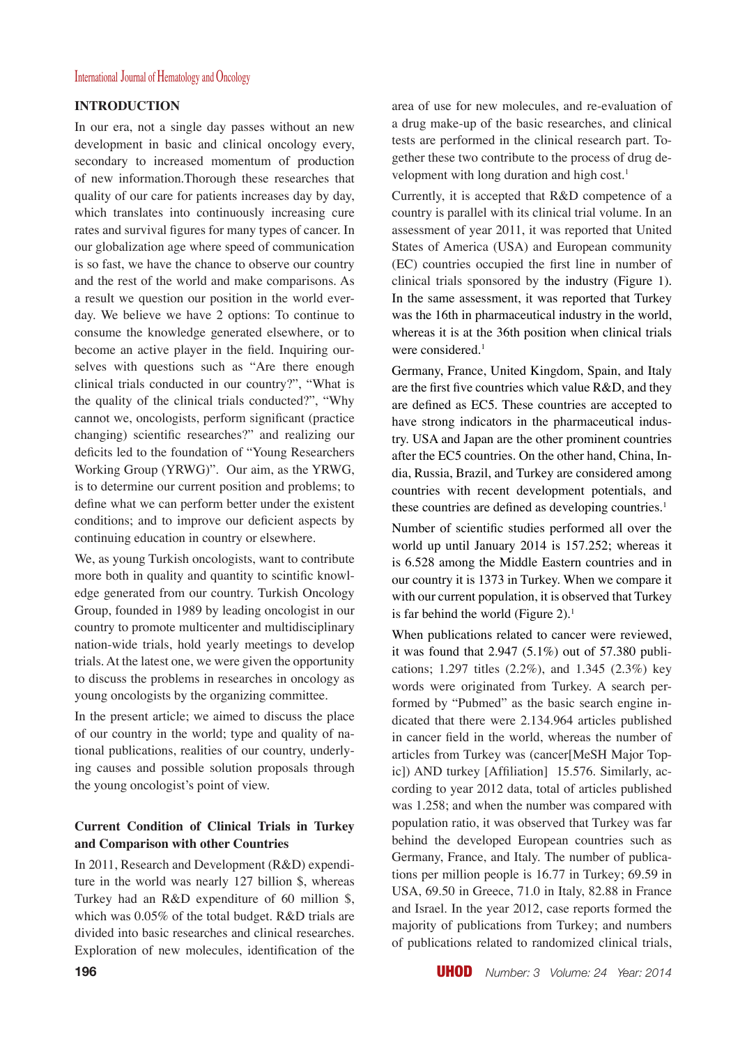### International Journal of Hematology and Oncology

## **INTRODUCTION**

In our era, not a single day passes without an new development in basic and clinical oncology every, secondary to increased momentum of production of new information.Thorough these researches that quality of our care for patients increases day by day, which translates into continuously increasing cure rates and survival figures for many types of cancer. In our globalization age where speed of communication is so fast, we have the chance to observe our country and the rest of the world and make comparisons. As a result we question our position in the world everday. We believe we have 2 options: To continue to consume the knowledge generated elsewhere, or to become an active player in the field. Inquiring ourselves with questions such as "Are there enough clinical trials conducted in our country?", "What is the quality of the clinical trials conducted?", "Why cannot we, oncologists, perform significant (practice changing) scientific researches?" and realizing our deficits led to the foundation of "Young Researchers Working Group (YRWG)". Our aim, as the YRWG, is to determine our current position and problems; to define what we can perform better under the existent conditions; and to improve our deficient aspects by continuing education in country or elsewhere.

We, as young Turkish oncologists, want to contribute more both in quality and quantity to scintific knowledge generated from our country. Turkish Oncology Group, founded in 1989 by leading oncologist in our country to promote multicenter and multidisciplinary nation-wide trials, hold yearly meetings to develop trials. At the latest one, we were given the opportunity to discuss the problems in researches in oncology as young oncologists by the organizing committee.

In the present article; we aimed to discuss the place of our country in the world; type and quality of national publications, realities of our country, underlying causes and possible solution proposals through the young oncologist's point of view.

# **Current Condition of Clinical Trials in Turkey and Comparison with other Countries**

In 2011, Research and Development (R&D) expenditure in the world was nearly 127 billion \$, whereas Turkey had an R&D expenditure of 60 million \$, which was 0.05% of the total budget. R&D trials are divided into basic researches and clinical researches. Exploration of new molecules, identification of the area of use for new molecules, and re-evaluation of a drug make-up of the basic researches, and clinical tests are performed in the clinical research part. Together these two contribute to the process of drug development with long duration and high cost.<sup>1</sup>

Currently, it is accepted that R&D competence of a country is parallel with its clinical trial volume. In an assessment of year 2011, it was reported that United States of America (USA) and European community (EC) countries occupied the first line in number of clinical trials sponsored by the industry (Figure 1). In the same assessment, it was reported that Turkey was the 16th in pharmaceutical industry in the world, whereas it is at the 36th position when clinical trials were considered.<sup>1</sup>

Germany, France, United Kingdom, Spain, and Italy are the first five countries which value R&D, and they are defined as EC5. These countries are accepted to have strong indicators in the pharmaceutical industry. USA and Japan are the other prominent countries after the EC5 countries. On the other hand, China, India, Russia, Brazil, and Turkey are considered among countries with recent development potentials, and these countries are defined as developing countries.<sup>1</sup>

Number of scientific studies performed all over the world up until January 2014 is 157.252; whereas it is 6.528 among the Middle Eastern countries and in our country it is 1373 in Turkey. When we compare it with our current population, it is observed that Turkey is far behind the world (Figure  $2$ ).<sup>1</sup>

When publications related to cancer were reviewed, it was found that  $2.947$   $(5.1\%)$  out of  $57.380$  publications; 1.297 titles (2.2%), and 1.345 (2.3%) key words were originated from Turkey. A search performed by "Pubmed" as the basic search engine indicated that there were 2.134.964 articles published in cancer field in the world, whereas the number of articles from Turkey was (cancer[MeSH Major Topic]) AND turkey [Affiliation] 15.576. Similarly, according to year 2012 data, total of articles published was 1.258; and when the number was compared with population ratio, it was observed that Turkey was far behind the developed European countries such as Germany, France, and Italy. The number of publications per million people is 16.77 in Turkey; 69.59 in USA, 69.50 in Greece, 71.0 in Italy, 82.88 in France and Israel. In the year 2012, case reports formed the majority of publications from Turkey; and numbers of publications related to randomized clinical trials,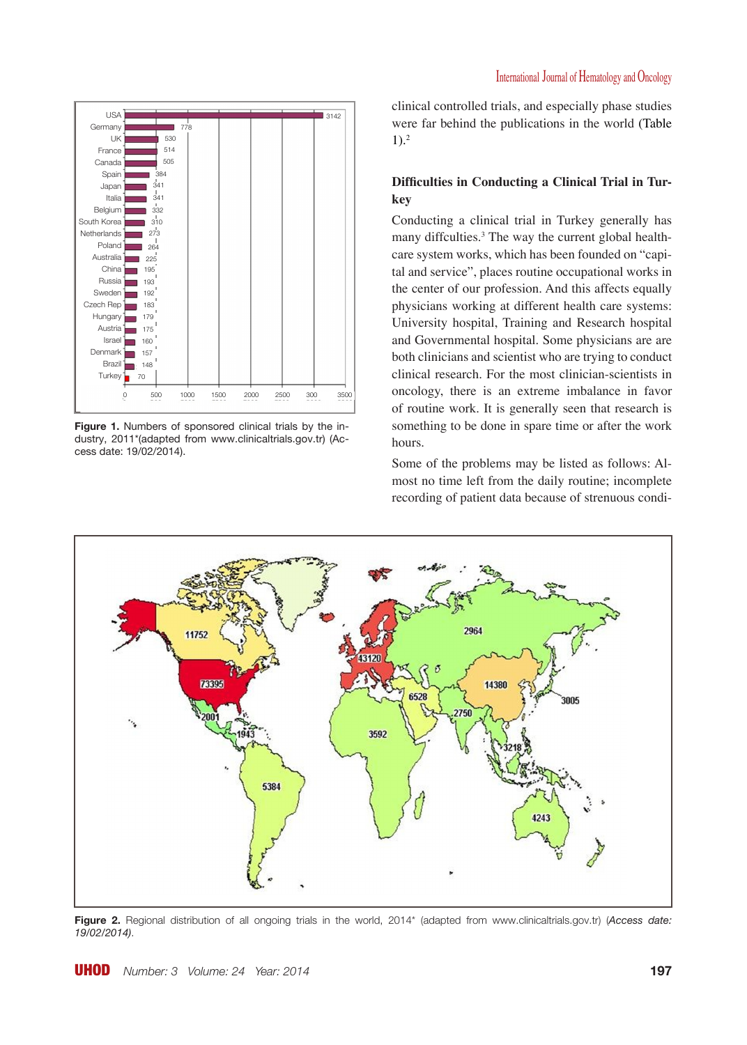

**Figure 1.** Numbers of sponsored clinical trials by the industry, 2011\*(adapted from www.clinicaltrials.gov.tr) (Access date: 19/02/2014).

clinical controlled trials, and especially phase studies were far behind the publications in the world (Table 1).2

# **Difficulties in Conducting a Clinical Trial in Turkey**

Conducting a clinical trial in Turkey generally has many diffculties.3 The way the current global healthcare system works, which has been founded on "capital and service", places routine occupational works in the center of our profession. And this affects equally physicians working at different health care systems: University hospital, Training and Research hospital and Governmental hospital. Some physicians are are both clinicians and scientist who are trying to conduct clinical research. For the most clinician-scientists in oncology, there is an extreme imbalance in favor of routine work. It is generally seen that research is something to be done in spare time or after the work hours.

Some of the problems may be listed as follows: Almost no time left from the daily routine; incomplete recording of patient data because of strenuous condi-



**Figure 2.** Regional distribution of all ongoing trials in the world, 2014\* (adapted from www.clinicaltrials.gov.tr) (*Access date: 19/02/2014)*.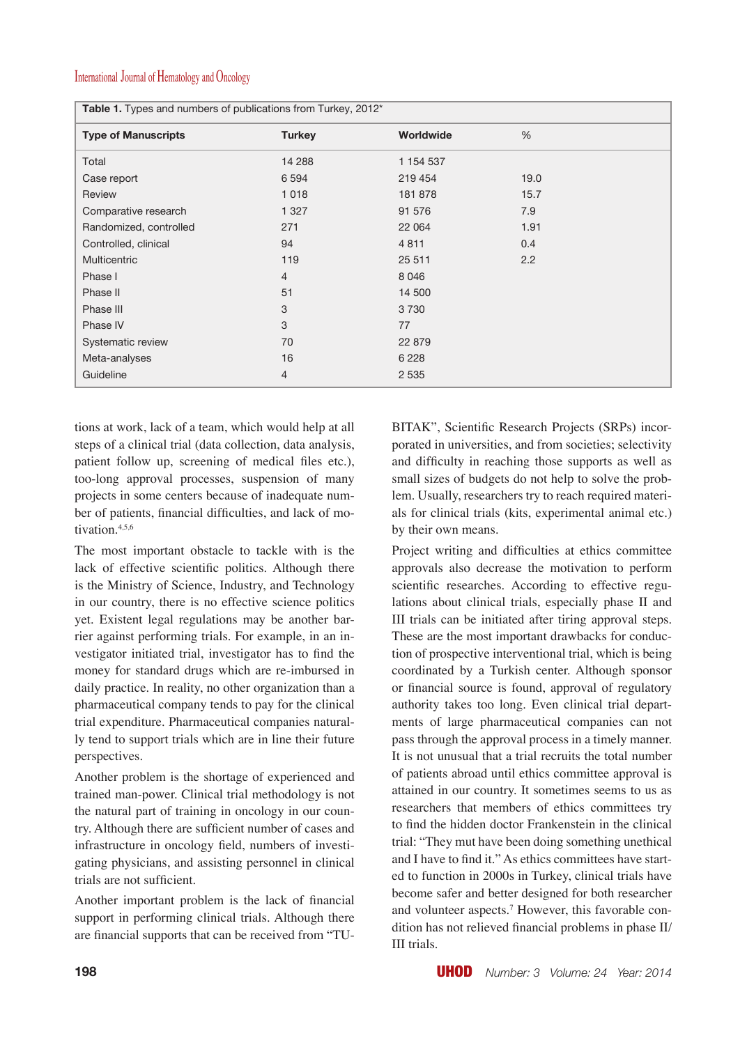# International Journal of Hematology and Oncology

| Table 1. Types and numbers of publications from Turkey, 2012* |               |           |               |  |
|---------------------------------------------------------------|---------------|-----------|---------------|--|
| <b>Type of Manuscripts</b>                                    | <b>Turkey</b> | Worldwide | $\frac{0}{0}$ |  |
| Total                                                         | 14 288        | 1 154 537 |               |  |
| Case report                                                   | 6 5 9 4       | 219 454   | 19.0          |  |
| Review                                                        | 1 0 1 8       | 181878    | 15.7          |  |
| Comparative research                                          | 1 3 2 7       | 91 576    | 7.9           |  |
| Randomized, controlled                                        | 271           | 22 064    | 1.91          |  |
| Controlled, clinical                                          | 94            | 4 8 1 1   | 0.4           |  |
| <b>Multicentric</b>                                           | 119           | 25 5 11   | 2.2           |  |
| Phase I                                                       | 4             | 8 0 4 6   |               |  |
| Phase II                                                      | 51            | 14 500    |               |  |
| Phase III                                                     | 3             | 3 7 3 0   |               |  |
| Phase IV                                                      | 3             | 77        |               |  |
| Systematic review                                             | 70            | 22 879    |               |  |
| Meta-analyses                                                 | 16            | 6 2 2 8   |               |  |
| Guideline                                                     | 4             | 2 5 3 5   |               |  |

tions at work, lack of a team, which would help at all steps of a clinical trial (data collection, data analysis, patient follow up, screening of medical files etc.), too-long approval processes, suspension of many projects in some centers because of inadequate number of patients, financial difficulties, and lack of motivation $4,5,6$ 

The most important obstacle to tackle with is the lack of effective scientific politics. Although there is the Ministry of Science, Industry, and Technology in our country, there is no effective science politics yet. Existent legal regulations may be another barrier against performing trials. For example, in an investigator initiated trial, investigator has to find the money for standard drugs which are re-imbursed in daily practice. In reality, no other organization than a pharmaceutical company tends to pay for the clinical trial expenditure. Pharmaceutical companies naturally tend to support trials which are in line their future perspectives.

Another problem is the shortage of experienced and trained man-power. Clinical trial methodology is not the natural part of training in oncology in our country. Although there are sufficient number of cases and infrastructure in oncology field, numbers of investigating physicians, and assisting personnel in clinical trials are not sufficient.

Another important problem is the lack of financial support in performing clinical trials. Although there are financial supports that can be received from "TU-

BITAK", Scientific Research Projects (SRPs) incorporated in universities, and from societies; selectivity and difficulty in reaching those supports as well as small sizes of budgets do not help to solve the problem. Usually, researchers try to reach required materials for clinical trials (kits, experimental animal etc.) by their own means.

Project writing and difficulties at ethics committee approvals also decrease the motivation to perform scientific researches. According to effective regulations about clinical trials, especially phase II and III trials can be initiated after tiring approval steps. These are the most important drawbacks for conduction of prospective interventional trial, which is being coordinated by a Turkish center. Although sponsor or financial source is found, approval of regulatory authority takes too long. Even clinical trial departments of large pharmaceutical companies can not pass through the approval process in a timely manner. It is not unusual that a trial recruits the total number of patients abroad until ethics committee approval is attained in our country. It sometimes seems to us as researchers that members of ethics committees try to find the hidden doctor Frankenstein in the clinical trial: "They mut have been doing something unethical and I have to find it." As ethics committees have started to function in 2000s in Turkey, clinical trials have become safer and better designed for both researcher and volunteer aspects.7 However, this favorable condition has not relieved financial problems in phase II/ III trials.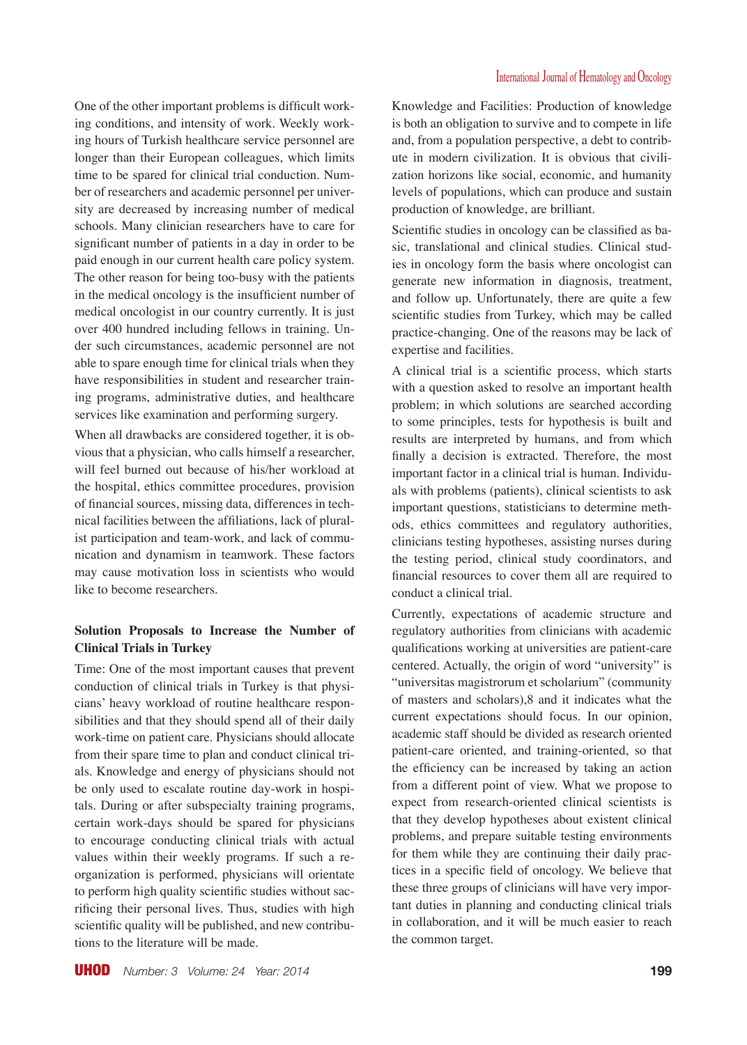One of the other important problems is difficult working conditions, and intensity of work. Weekly working hours of Turkish healthcare service personnel are longer than their European colleagues, which limits time to be spared for clinical trial conduction. Number of researchers and academic personnel per university are decreased by increasing number of medical schools. Many clinician researchers have to care for significant number of patients in a day in order to be paid enough in our current health care policy system. The other reason for being too-busy with the patients in the medical oncology is the insufficient number of medical oncologist in our country currently. It is just over 400 hundred including fellows in training. Under such circumstances, academic personnel are not able to spare enough time for clinical trials when they have responsibilities in student and researcher training programs, administrative duties, and healthcare services like examination and performing surgery.

When all drawbacks are considered together, it is obvious that a physician, who calls himself a researcher, will feel burned out because of his/her workload at the hospital, ethics committee procedures, provision of financial sources, missing data, differences in technical facilities between the affiliations, lack of pluralist participation and team-work, and lack of communication and dynamism in teamwork. These factors may cause motivation loss in scientists who would like to become researchers.

## **Solution Proposals to Increase the Number of Clinical Trials in Turkey**

Time: One of the most important causes that prevent conduction of clinical trials in Turkey is that physicians' heavy workload of routine healthcare responsibilities and that they should spend all of their daily work-time on patient care. Physicians should allocate from their spare time to plan and conduct clinical trials. Knowledge and energy of physicians should not be only used to escalate routine day-work in hospitals. During or after subspecialty training programs, certain work-days should be spared for physicians to encourage conducting clinical trials with actual values within their weekly programs. If such a reorganization is performed, physicians will orientate to perform high quality scientific studies without sacrificing their personal lives. Thus, studies with high scientific quality will be published, and new contributions to the literature will be made.

#### International Journal of Hematology and Oncology

Knowledge and Facilities: Production of knowledge is both an obligation to survive and to compete in life and, from a population perspective, a debt to contribute in modern civilization. It is obvious that civilization horizons like social, economic, and humanity levels of populations, which can produce and sustain production of knowledge, are brilliant.

Scientific studies in oncology can be classified as basic, translational and clinical studies. Clinical studies in oncology form the basis where oncologist can generate new information in diagnosis, treatment, and follow up. Unfortunately, there are quite a few scientific studies from Turkey, which may be called practice-changing. One of the reasons may be lack of expertise and facilities.

A clinical trial is a scientific process, which starts with a question asked to resolve an important health problem; in which solutions are searched according to some principles, tests for hypothesis is built and results are interpreted by humans, and from which finally a decision is extracted. Therefore, the most important factor in a clinical trial is human. Individuals with problems (patients), clinical scientists to ask important questions, statisticians to determine methods, ethics committees and regulatory authorities, clinicians testing hypotheses, assisting nurses during the testing period, clinical study coordinators, and financial resources to cover them all are required to conduct a clinical trial.

Currently, expectations of academic structure and regulatory authorities from clinicians with academic qualifications working at universities are patient-care centered. Actually, the origin of word "university" is "universitas magistrorum et scholarium" (community of masters and scholars),8 and it indicates what the current expectations should focus. In our opinion, academic staff should be divided as research oriented patient-care oriented, and training-oriented, so that the efficiency can be increased by taking an action from a different point of view. What we propose to expect from research-oriented clinical scientists is that they develop hypotheses about existent clinical problems, and prepare suitable testing environments for them while they are continuing their daily practices in a specific field of oncology. We believe that these three groups of clinicians will have very important duties in planning and conducting clinical trials in collaboration, and it will be much easier to reach the common target.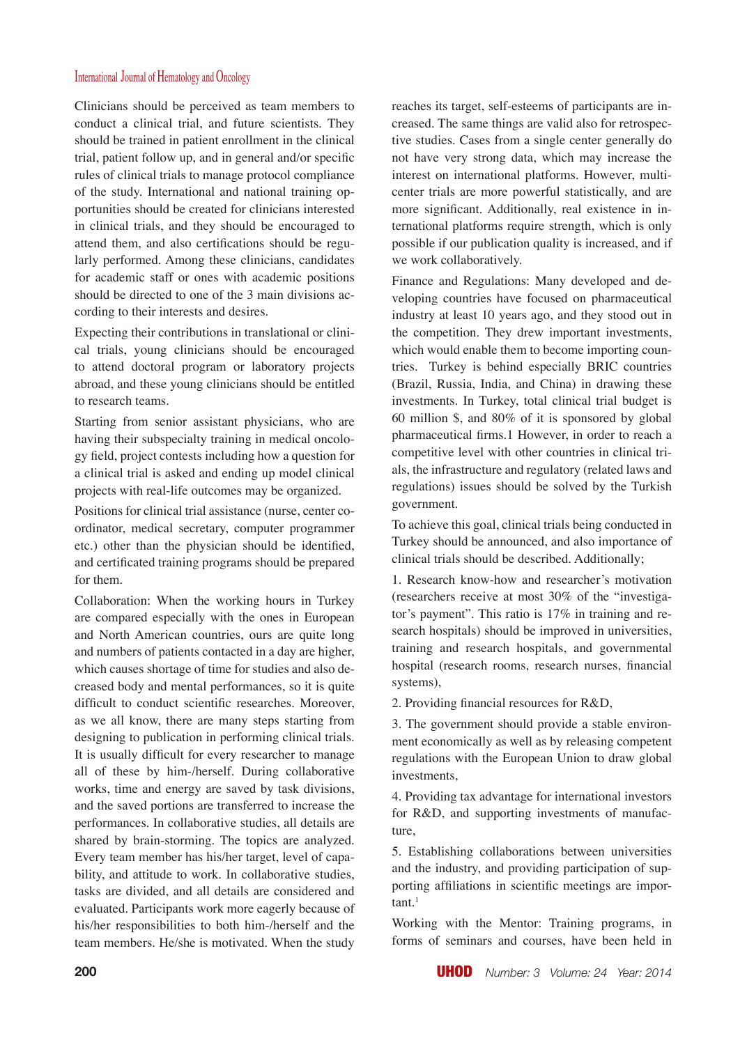## International Journal of Hematology and Oncology

Clinicians should be perceived as team members to conduct a clinical trial, and future scientists. They should be trained in patient enrollment in the clinical trial, patient follow up, and in general and/or specific rules of clinical trials to manage protocol compliance of the study. International and national training opportunities should be created for clinicians interested in clinical trials, and they should be encouraged to attend them, and also certifications should be regularly performed. Among these clinicians, candidates for academic staff or ones with academic positions should be directed to one of the 3 main divisions according to their interests and desires.

Expecting their contributions in translational or clinical trials, young clinicians should be encouraged to attend doctoral program or laboratory projects abroad, and these young clinicians should be entitled to research teams.

Starting from senior assistant physicians, who are having their subspecialty training in medical oncology field, project contests including how a question for a clinical trial is asked and ending up model clinical projects with real-life outcomes may be organized.

Positions for clinical trial assistance (nurse, center coordinator, medical secretary, computer programmer etc.) other than the physician should be identified, and certificated training programs should be prepared for them.

Collaboration: When the working hours in Turkey are compared especially with the ones in European and North American countries, ours are quite long and numbers of patients contacted in a day are higher, which causes shortage of time for studies and also decreased body and mental performances, so it is quite difficult to conduct scientific researches. Moreover, as we all know, there are many steps starting from designing to publication in performing clinical trials. It is usually difficult for every researcher to manage all of these by him-/herself. During collaborative works, time and energy are saved by task divisions, and the saved portions are transferred to increase the performances. In collaborative studies, all details are shared by brain-storming. The topics are analyzed. Every team member has his/her target, level of capability, and attitude to work. In collaborative studies, tasks are divided, and all details are considered and evaluated. Participants work more eagerly because of his/her responsibilities to both him-/herself and the team members. He/she is motivated. When the study reaches its target, self-esteems of participants are increased. The same things are valid also for retrospective studies. Cases from a single center generally do not have very strong data, which may increase the interest on international platforms. However, multicenter trials are more powerful statistically, and are more significant. Additionally, real existence in international platforms require strength, which is only possible if our publication quality is increased, and if we work collaboratively.

Finance and Regulations: Many developed and developing countries have focused on pharmaceutical industry at least 10 years ago, and they stood out in the competition. They drew important investments, which would enable them to become importing countries. Turkey is behind especially BRIC countries (Brazil, Russia, India, and China) in drawing these investments. In Turkey, total clinical trial budget is 60 million \$, and 80% of it is sponsored by global pharmaceutical firms.1 However, in order to reach a competitive level with other countries in clinical trials, the infrastructure and regulatory (related laws and regulations) issues should be solved by the Turkish government.

To achieve this goal, clinical trials being conducted in Turkey should be announced, and also importance of clinical trials should be described. Additionally;

1. Research know-how and researcher's motivation (researchers receive at most 30% of the "investigator's payment". This ratio is 17% in training and research hospitals) should be improved in universities, training and research hospitals, and governmental hospital (research rooms, research nurses, financial systems),

2. Providing financial resources for R&D,

3. The government should provide a stable environment economically as well as by releasing competent regulations with the European Union to draw global investments,

4. Providing tax advantage for international investors for R&D, and supporting investments of manufacture,

5. Establishing collaborations between universities and the industry, and providing participation of supporting affiliations in scientific meetings are impor $tant.<sup>1</sup>$ 

Working with the Mentor: Training programs, in forms of seminars and courses, have been held in